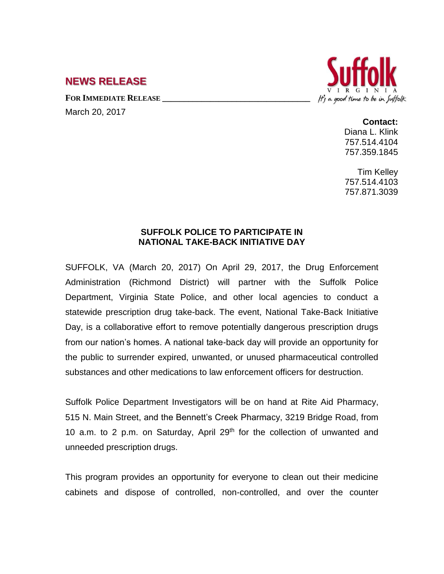## **NEWS RELEASE**

**FOR IMMEDIATE RELEASE \_\_\_\_\_\_\_\_\_\_\_\_\_\_\_\_\_\_\_\_\_\_\_\_\_\_\_\_\_\_\_\_\_\_**

March 20, 2017



**Contact:**

Diana L. Klink 757.514.4104 757.359.1845

Tim Kelley 757.514.4103 757.871.3039

## **SUFFOLK POLICE TO PARTICIPATE IN NATIONAL TAKE-BACK INITIATIVE DAY**

SUFFOLK, VA (March 20, 2017) On April 29, 2017, the Drug Enforcement Administration (Richmond District) will partner with the Suffolk Police Department, Virginia State Police, and other local agencies to conduct a statewide prescription drug take-back. The event, National Take-Back Initiative Day, is a collaborative effort to remove potentially dangerous prescription drugs from our nation's homes. A national take-back day will provide an opportunity for the public to surrender expired, unwanted, or unused pharmaceutical controlled substances and other medications to law enforcement officers for destruction.

Suffolk Police Department Investigators will be on hand at Rite Aid Pharmacy, 515 N. Main Street, and the Bennett's Creek Pharmacy, 3219 Bridge Road, from 10 a.m. to 2 p.m. on Saturday, April 29<sup>th</sup> for the collection of unwanted and unneeded prescription drugs.

This program provides an opportunity for everyone to clean out their medicine cabinets and dispose of controlled, non-controlled, and over the counter